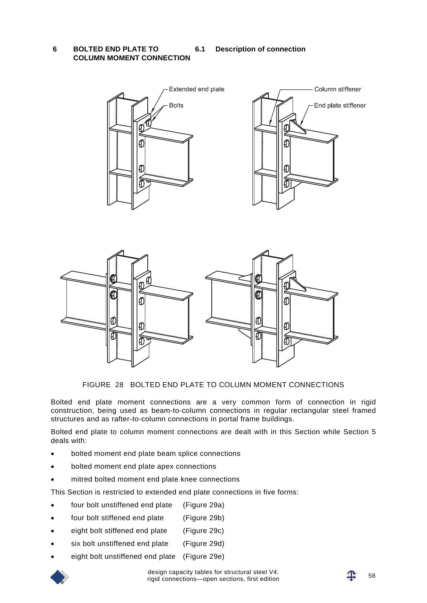**6 BOLTED END PLATE TO COLUMN MOMENT CONNECTION**

**6.1 Description of connection** 





FIGURE 28 BOLTED END PLATE TO COLUMN MOMENT CONNECTIONS

Bolted end plate moment connections are a very common form of connection in rigid construction, being used as beam-to-column connections in regular rectangular steel framed structures and as rafter-to-column connections in portal frame buildings.

Bolted end plate to column moment connections are dealt with in this Section while Section 5 deals with:

- bolted moment end plate beam splice connections
- bolted moment end plate apex connections
- mitred bolted moment end plate knee connections

This Section is restricted to extended end plate connections in five forms:

- four bolt unstiffened end plate (Figure 29a)
- four bolt stiffened end plate (Figure 29b)
- eight bolt stiffened end plate (Figure 29c)
- six bolt unstiffened end plate (Figure 29d)
- eight bolt unstiffened end plate (Figure 29e)

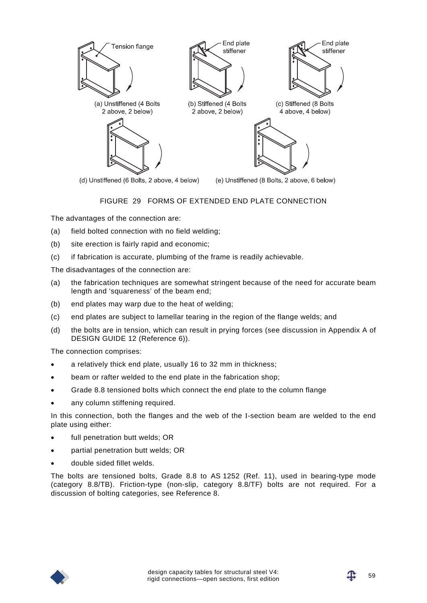

### FIGURE 29 FORMS OF EXTENDED END PLATE CONNECTION

The advantages of the connection are:

- (a) field bolted connection with no field welding;
- (b) site erection is fairly rapid and economic;
- (c) if fabrication is accurate, plumbing of the frame is readily achievable.

The disadvantages of the connection are:

- (a) the fabrication techniques are somewhat stringent because of the need for accurate beam length and 'squareness' of the beam end;
- (b) end plates may warp due to the heat of welding;
- (c) end plates are subject to lamellar tearing in the region of the flange welds; and
- (d) the bolts are in tension, which can result in prying forces (see discussion in Appendix A of DESIGN GUIDE 12 (Reference 6)).

The connection comprises:

- a relatively thick end plate, usually 16 to 32 mm in thickness;
- beam or rafter welded to the end plate in the fabrication shop;
- Grade 8.8 tensioned bolts which connect the end plate to the column flange
- any column stiffening required.

In this connection, both the flanges and the web of the I-section beam are welded to the end plate using either:

- full penetration butt welds: OR
- partial penetration butt welds; OR
- double sided fillet welds.

The bolts are tensioned bolts, Grade 8.8 to AS 1252 (Ref. 11), used in bearing-type mode (category 8.8/TB). Friction-type (non-slip, category 8.8/TF) bolts are not required. For a discussion of bolting categories, see Reference 8.

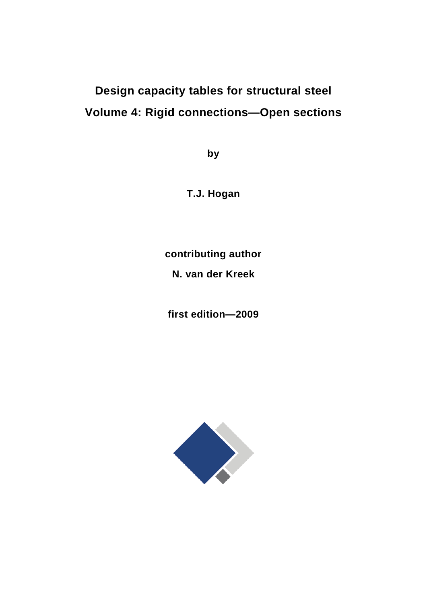# **Design capacity tables for structural steel Volume 4: Rigid connections—Open sections**

**by** 

**T.J. Hogan** 

**contributing author** 

**N. van der Kreek** 

**first edition—2009** 

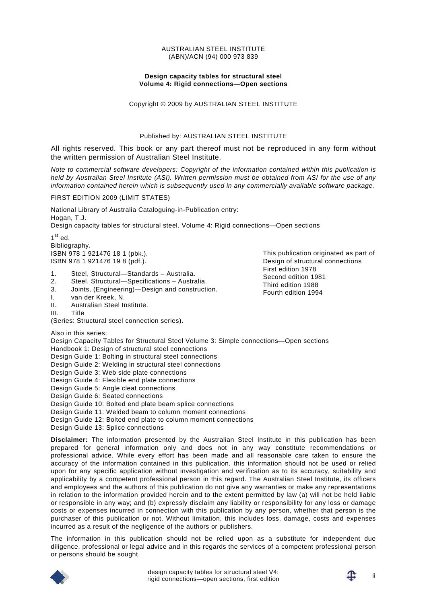#### AUSTRALIAN STEEL INSTITUTE (ABN)/ACN (94) 000 973 839

#### **Design capacity tables for structural steel Volume 4: Rigid connections—Open sections**

Copyright © 2009 by AUSTRALIAN STEEL INSTITUTE

#### Published by: AUSTRALIAN STEEL INSTITUTE

All rights reserved. This book or any part thereof must not be reproduced in any form without the written permission of Australian Steel Institute.

*Note to commercial software developers: Copyright of the information contained within this publication is held by Australian Steel Institute (ASI). Written permission must be obtained from ASI for the use of any information contained herein which is subsequently used in any commercially available software package.* 

FIRST EDITION 2009 (LIMIT STATES)

National Library of Australia Cataloguing-in-Publication entry: Hogan, T.J. Design capacity tables for structural steel. Volume 4: Rigid connections—Open sections

 $1<sup>st</sup>$  ed. Bibliography. ISBN 978 1 921476 18 1 (pbk.). ISBN 978 1 921476 19 8 (pdf.).

- 1. Steel, Structural—Standards Australia.
- 2. Steel, Structural—Specifications Australia.
- 3. Joints, (Engineering)—Design and construction.
- I. van der Kreek, N.
- II. Australian Steel Institute.
- III. Title

(Series: Structural steel connection series).

Also in this series:

Design Capacity Tables for Structural Steel Volume 3: Simple connections—Open sections Handbook 1: Design of structural steel connections

Design Guide 1: Bolting in structural steel connections

- Design Guide 2: Welding in structural steel connections
- Design Guide 3: Web side plate connections
- Design Guide 4: Flexible end plate connections
- Design Guide 5: Angle cleat connections

Design Guide 6: Seated connections

Design Guide 10: Bolted end plate beam splice connections

Design Guide 11: Welded beam to column moment connections

Design Guide 12: Bolted end plate to column moment connections

Design Guide 13: Splice connections

**Disclaimer:** The information presented by the Australian Steel Institute in this publication has been prepared for general information only and does not in any way constitute recommendations or professional advice. While every effort has been made and all reasonable care taken to ensure the accuracy of the information contained in this publication, this information should not be used or relied upon for any specific application without investigation and verification as to its accuracy, suitability and applicability by a competent professional person in this regard. The Australian Steel Institute, its officers and employees and the authors of this publication do not give any warranties or make any representations in relation to the information provided herein and to the extent permitted by law (a) will not be held liable or responsible in any way; and (b) expressly disclaim any liability or responsibility for any loss or damage costs or expenses incurred in connection with this publication by any person, whether that person is the purchaser of this publication or not. Without limitation, this includes loss, damage, costs and expenses incurred as a result of the negligence of the authors or publishers.

The information in this publication should not be relied upon as a substitute for independent due diligence, professional or legal advice and in this regards the services of a competent professional person or persons should be sought.



This publication originated as part of Design of structural connections First edition 1978 Second edition 1981 Third edition 1988 Fourth edition 1994

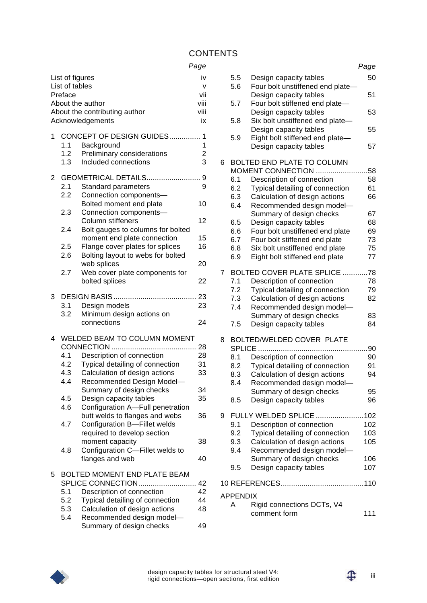# **CONTENTS**

# *Page*

| List of figures<br>List of tables<br>Preface<br>About the author<br>About the contributing author<br>Acknowledgements |                                |                                                                                              | iv<br>v<br>vii<br>viii<br>viii<br>iх |
|-----------------------------------------------------------------------------------------------------------------------|--------------------------------|----------------------------------------------------------------------------------------------|--------------------------------------|
| 1                                                                                                                     | 1.1<br>1.2 <sub>2</sub><br>1.3 | CONCEPT OF DESIGN GUIDES<br>Background<br>Preliminary considerations<br>Included connections | 1<br>1<br>2<br>3                     |
| 2                                                                                                                     | 2.1<br>2.2                     | Standard parameters<br>Connection components-                                                | 9                                    |
|                                                                                                                       | 2.3                            | Bolted moment end plate<br>Connection components-                                            | 10                                   |
|                                                                                                                       | 2.4                            | Column stiffeners<br>Bolt gauges to columns for bolted                                       | 12                                   |
|                                                                                                                       |                                | moment end plate connection                                                                  | 15                                   |
|                                                                                                                       | 2.5<br>2.6                     | Flange cover plates for splices<br>Bolting layout to webs for bolted                         | 16                                   |
|                                                                                                                       | 2.7                            | web splices<br>Web cover plate components for                                                | 20                                   |
|                                                                                                                       |                                | bolted splices                                                                               | 22                                   |
| 3                                                                                                                     |                                |                                                                                              | 23                                   |
|                                                                                                                       | 3.1<br>3.2                     | Design models<br>Minimum design actions on                                                   | 23                                   |
|                                                                                                                       |                                | connections                                                                                  | 24                                   |
| 4                                                                                                                     |                                | WELDED BEAM TO COLUMN MOMENT                                                                 |                                      |
|                                                                                                                       |                                |                                                                                              |                                      |
|                                                                                                                       | 4.1                            | Description of connection                                                                    | 28                                   |
|                                                                                                                       | 4.2                            | Typical detailing of connection                                                              | 31                                   |
|                                                                                                                       | 4.3<br>4.4                     | Calculation of design actions<br>Recommended Design Model-                                   | 33                                   |
|                                                                                                                       |                                | Summary of design checks                                                                     | 34                                   |
|                                                                                                                       | 4.5                            | Design capacity tables                                                                       | 35                                   |
|                                                                                                                       | 4.6                            | Configuration A-Full penetration                                                             |                                      |
|                                                                                                                       | 4.7                            | butt welds to flanges and webs<br>Configuration B-Fillet welds                               | 36                                   |
|                                                                                                                       |                                | required to develop section                                                                  |                                      |
|                                                                                                                       |                                | moment capacity                                                                              | 38                                   |
|                                                                                                                       | 4.8                            | Configuration C-Fillet welds to<br>flanges and web                                           | 40                                   |
| 5                                                                                                                     |                                | BOLTED MOMENT END PLATE BEAM                                                                 |                                      |
|                                                                                                                       |                                | SPLICE CONNECTION                                                                            | 42                                   |
|                                                                                                                       | 5.1                            | Description of connection                                                                    | 42                                   |
|                                                                                                                       | 5.2                            | Typical detailing of connection                                                              | 44                                   |
|                                                                                                                       | 5.3                            | Calculation of design actions                                                                | 48                                   |
|                                                                                                                       | 5.4                            | Recommended design model-                                                                    |                                      |
|                                                                                                                       |                                | Summary of design checks                                                                     | 49                                   |

|                |                 |                                                                  | Page       |
|----------------|-----------------|------------------------------------------------------------------|------------|
|                | 5.5<br>5.6      | Design capacity tables<br>Four bolt unstiffened end plate-       | 50         |
|                | 5.7             | Design capacity tables<br>Four bolt stiffened end plate-         | 51         |
|                |                 | Design capacity tables<br>Six bolt unstiffened end plate-        | 53         |
|                | 5.8             | Design capacity tables                                           | 55         |
|                | 5.9             | Eight bolt stiffened end plate-<br>Design capacity tables        | 57         |
| 6              |                 | BOLTED END PLATE TO COLUMN                                       |            |
|                |                 | MOMENT CONNECTION                                                | 58         |
|                | 6.1             | Description of connection                                        | 58         |
|                | 6.2<br>6.3      | Typical detailing of connection<br>Calculation of design actions | 61<br>66   |
|                | 6.4             | Recommended design model-                                        |            |
|                |                 | Summary of design checks                                         | 67         |
|                | 6.5             | Design capacity tables                                           | 68         |
|                | 6.6             | Four bolt unstiffened end plate                                  | 69         |
|                | 6.7             | Four bolt stiffened end plate                                    | 73         |
|                | 6.8             | Six bolt unstiffened end plate                                   | 75         |
|                | 6.9             | Eight bolt stiffened end plate                                   | 77         |
| $\overline{7}$ |                 | BOLTED COVER PLATE SPLICE                                        | .78        |
|                | 7.1             | Description of connection                                        | 78         |
|                | 7.2             | Typical detailing of connection                                  | 79         |
|                | 7.3             | Calculation of design actions                                    | 82         |
|                | 7.4             | Recommended design model-                                        |            |
|                | 7.5             | Summary of design checks<br>Design capacity tables               | 83<br>84   |
| 8              |                 | BOLTED/WELDED COVER PLATE                                        |            |
|                |                 | <b>SPLICE</b>                                                    | 90         |
|                | 8.1             | Description of connection                                        | 90         |
|                | 8.2             | Typical detailing of connection                                  | 91         |
|                | 8.3             | Calculation of design actions                                    | 94         |
|                | 8.4             | Recommended design model-<br>Summary of design checks            | 95         |
|                | 8.5             | Design capacity tables                                           | 96         |
|                |                 |                                                                  |            |
| 9              |                 | FULLY WELDED SPLICE 102                                          |            |
|                | 9.1<br>9.2      | Description of connection<br>Typical detailing of connection     | 102<br>103 |
|                | 9.3             | Calculation of design actions                                    | 105        |
|                | 9.4             | Recommended design model-                                        |            |
|                |                 | Summary of design checks                                         | 106        |
|                | 9.5             | Design capacity tables                                           | 107        |
|                |                 |                                                                  |            |
|                | <b>APPENDIX</b> |                                                                  |            |
|                | A               | Rigid connections DCTs, V4                                       |            |
|                |                 | comment form                                                     | 111        |

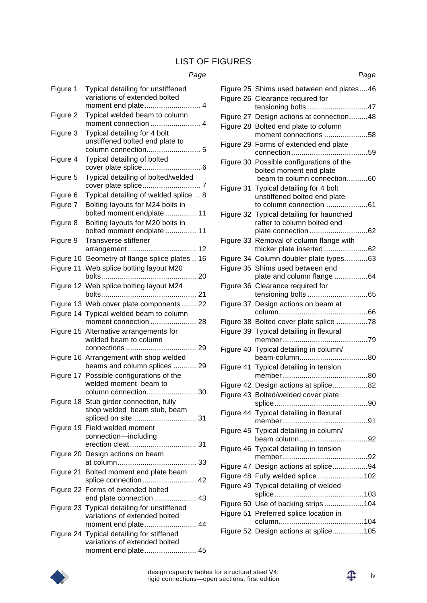### LIST OF FIGURES

### *Page*

|           | uyu                                                                                                 |
|-----------|-----------------------------------------------------------------------------------------------------|
| Figure 1  | Typical detailing for unstiffened<br>variations of extended bolted                                  |
| Figure 2  | Typical welded beam to column                                                                       |
| Figure 3  | Typical detailing for 4 bolt<br>unstiffened bolted end plate to                                     |
| Figure 4  | Typical detailing of bolted<br>cover plate splice<br>. 6                                            |
| Figure 5  | Typical detailing of bolted/welded                                                                  |
| Figure 6  | Typical detailing of welded splice  8                                                               |
| Figure 7  | Bolting layouts for M24 bolts in<br>bolted moment endplate  11                                      |
| Figure 8  | Bolting layouts for M20 bolts in<br>bolted moment endplate  11                                      |
| Figure 9  | <b>Transverse stiffener</b>                                                                         |
| Figure 10 | Geometry of flange splice plates  16                                                                |
| Figure 11 | Web splice bolting layout M20                                                                       |
|           | Figure 12 Web splice bolting layout M24<br>bolts<br>. 21                                            |
|           | Figure 13 Web cover plate components  22                                                            |
|           | Figure 14 Typical welded beam to column                                                             |
|           | moment connection  28<br>Figure 15 Alternative arrangements for                                     |
|           | welded beam to column                                                                               |
|           | Figure 16 Arrangement with shop welded<br>beams and column splices  29                              |
|           | Figure 17 Possible configurations of the<br>welded moment beam to                                   |
|           | Figure 18 Stub girder connection, fully                                                             |
|           | shop welded beam stub, beam<br>spliced on site 31                                                   |
|           | Figure 19 Field welded moment<br>connection-including                                               |
|           | Figure 20 Design actions on beam                                                                    |
|           | Figure 21 Bolted moment end plate beam<br>splice connection 42                                      |
|           | Figure 22 Forms of extended bolted<br>end plate connection  43                                      |
|           | Figure 23 Typical detailing for unstiffened<br>variations of extended bolted<br>moment end plate 44 |

Figure 24 Typical detailing for stiffened

variations of extended bolted

moment end plate......................... 45

| Figure 25 Shims used between end plates46                                                          |
|----------------------------------------------------------------------------------------------------|
| Figure 26 Clearance required for                                                                   |
| tensioning bolts 47                                                                                |
| Figure 27 Design actions at connection48                                                           |
| Figure 28 Bolted end plate to column<br>moment connections 58                                      |
| Figure 29 Forms of extended end plate                                                              |
| Figure 30 Possible configurations of the<br>bolted moment end plate<br>beam to column connection60 |
| Figure 31 Typical detailing for 4 bolt<br>unstiffened bolted end plate<br>to column connection 61  |
| Figure 32 Typical detailing for haunched<br>rafter to column bolted end                            |
| Figure 33 Removal of column flange with                                                            |
| thicker plate inserted 62                                                                          |
| Figure 34 Column doubler plate types63                                                             |
| Figure 35 Shims used between end                                                                   |
| plate and column flange 64                                                                         |
| Figure 36 Clearance required for                                                                   |
| Figure 37 Design actions on beam at                                                                |
| Figure 38 Bolted cover plate splice 78                                                             |
| Figure 39 Typical detailing in flexural                                                            |
|                                                                                                    |
| Figure 40 Typical detailing in column/                                                             |
| beam-column80                                                                                      |
| Figure 41 Typical detailing in tension                                                             |
|                                                                                                    |
| Figure 42 Design actions at splice82<br>Figure 43 Bolted/welded cover plate                        |
| 90<br>splice.                                                                                      |
| Figure 44 Typical detailing in flexural                                                            |
| Figure 45 Typical detailing in column/                                                             |
|                                                                                                    |
| Figure 46 Typical detailing in tension                                                             |
| Figure 47 Design actions at splice94                                                               |
| Figure 48 Fully welded splice 102                                                                  |
| Figure 49 Typical detailing of welded                                                              |
| Figure 50 Use of backing strips104                                                                 |
| Figure 51 Preferred splice location in                                                             |
|                                                                                                    |
| Figure 52 Design actions at splice105                                                              |





*Page*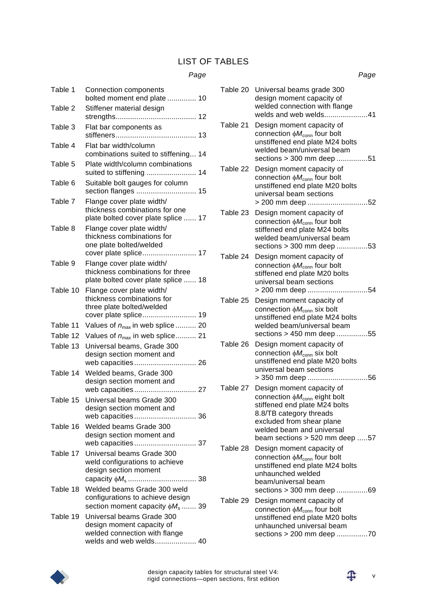## LIST OF TABLES

#### *Page*

| Table 1  | Connection components<br>bolted moment end plate  10                                                              |
|----------|-------------------------------------------------------------------------------------------------------------------|
| Table 2  | Stiffener material design                                                                                         |
| Table 3  | Flat bar components as                                                                                            |
|          |                                                                                                                   |
| Table 4  | Flat bar width/column<br>combinations suited to stiffening 14                                                     |
| Table 5  | Plate width/column combinations<br>suited to stiffening  14                                                       |
| Table 6  | Suitable bolt gauges for column                                                                                   |
| Table 7  | Flange cover plate width/<br>thickness combinations for one<br>plate bolted cover plate splice  17                |
| Table 8  | Flange cover plate width/<br>thickness combinations for<br>one plate bolted/welded                                |
| Table 9  | cover plate splice 17                                                                                             |
|          | Flange cover plate width/<br>thickness combinations for three<br>plate bolted cover plate splice  18              |
| Table 10 | Flange cover plate width/<br>thickness combinations for<br>three plate bolted/welded                              |
| Table 11 | Values of $n_{\text{max}}$ in web splice  20                                                                      |
| Table 12 | Values of $n_{\text{max}}$ in web splice 21                                                                       |
| Table 13 | Universal beams, Grade 300<br>design section moment and                                                           |
| Table 14 | Welded beams, Grade 300<br>design section moment and                                                              |
| Table 15 | Universal beams Grade 300<br>design section moment and                                                            |
|          | web capacities 36                                                                                                 |
| Table 16 | Welded beams Grade 300<br>design section moment and                                                               |
| Table 17 | Universal beams Grade 300<br>weld configurations to achieve<br>design section moment                              |
| Table 18 | Welded beams Grade 300 weld<br>configurations to achieve design<br>section moment capacity $\phi M_s$ 39          |
| Table 19 | Universal beams Grade 300<br>design moment capacity of<br>welded connection with flange<br>welds and web welds 40 |

|          | Page                                                                                                                                                                                                                              |
|----------|-----------------------------------------------------------------------------------------------------------------------------------------------------------------------------------------------------------------------------------|
|          | Table 20 Universal beams grade 300<br>design moment capacity of<br>welded connection with flange<br>welds and web welds41                                                                                                         |
| Table 21 | Design moment capacity of<br>connection $\phi M_{\text{conn}}$ four bolt<br>unstiffened end plate M24 bolts<br>welded beam/universal beam<br>sections > 300 mm deep 51                                                            |
| Table 22 | Design moment capacity of<br>connection $\phi M_{\text{conn}}$ four bolt<br>unstiffened end plate M20 bolts<br>universal beam sections<br>> 200 mm deep 52                                                                        |
| Table 23 | Design moment capacity of<br>connection $\phi M_{\text{conn}}$ four bolt<br>stiffened end plate M24 bolts<br>welded beam/universal beam<br>sections > 300 mm deep 53                                                              |
| Table 24 | Design moment capacity of<br>connection $\phi M_{\text{conn}}$ four bolt<br>stiffened end plate M20 bolts<br>universal beam sections<br>> 200 mm deep 54                                                                          |
| Table 25 | Design moment capacity of<br>connection $\phi M_{\text{conn}}$ six bolt<br>unstiffened end plate M24 bolts<br>welded beam/universal beam<br>sections > 450 mm deep 55                                                             |
| Table 26 | Design moment capacity of<br>connection $\phi M_{\text{conn}}$ six bolt<br>unstiffened end plate M20 bolts<br>universal beam sections<br>> 350 mm deep 56                                                                         |
| Table 27 | Design moment capacity of<br>connection $\phi M_{\text{conn}}$ eight bolt<br>stiffened end plate M24 bolts<br>8.8/TB category threads<br>excluded from shear plane<br>welded beam and universal<br>beam sections > 520 mm deep 57 |
| Table 28 | Design moment capacity of<br>connection $\phi M_{\text{conn}}$ four bolt<br>unstiffened end plate M24 bolts<br>unhaunched welded<br>beam/universal beam<br>sections > 300 mm deep 69                                              |
| Table 29 | Design moment capacity of<br>connection $\phi M_{\text{conn}}$ four bolt<br>unstiffened end plate M20 bolts<br>unhaunched universal beam<br>sections > 200 mm deep 70                                                             |